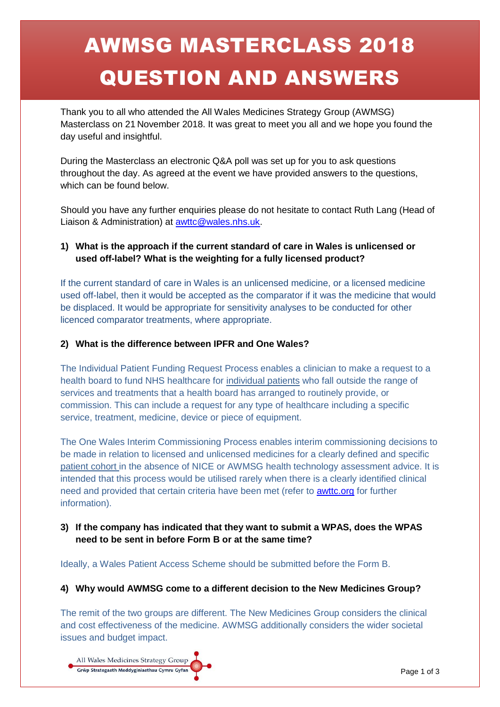# AWMSG MASTERCLASS 2018 QUESTION AND ANSWERS

Thank you to all who attended the All Wales Medicines Strategy Group (AWMSG) Masterclass on 21 November 2018. It was great to meet you all and we hope you found the day useful and insightful.

During the Masterclass an electronic Q&A poll was set up for you to ask questions throughout the day. As agreed at the event we have provided answers to the questions, which can be found below.

Should you have any further enquiries please do not hesitate to contact Ruth Lang (Head of Liaison & Administration) at **awttc@wales.nhs.uk.** 

## **1) What is the approach if the current standard of care in Wales is unlicensed or used off-label? What is the weighting for a fully licensed product?**

If the current standard of care in Wales is an unlicensed medicine, or a licensed medicine used off-label, then it would be accepted as the comparator if it was the medicine that would be displaced. It would be appropriate for sensitivity analyses to be conducted for other licenced comparator treatments, where appropriate.

#### **2) What is the difference between IPFR and One Wales?**

The Individual Patient Funding Request Process enables a clinician to make a request to a health board to fund NHS healthcare for individual patients who fall outside the range of services and treatments that a health board has arranged to routinely provide, or commission. This can include a request for any type of healthcare including a specific service, treatment, medicine, device or piece of equipment.

The One Wales Interim Commissioning Process enables interim commissioning decisions to be made in relation to licensed and unlicensed medicines for a clearly defined and specific patient cohort in the absence of NICE or AWMSG health technology assessment advice. It is intended that this process would be utilised rarely when there is a clearly identified clinical need and provided that certain criteria have been met (refer to **awttc.org** for further information).

## **3) If the company has indicated that they want to submit a WPAS, does the WPAS need to be sent in before Form B or at the same time?**

Ideally, a Wales Patient Access Scheme should be submitted before the Form B.

## **4) Why would AWMSG come to a different decision to the New Medicines Group?**

The remit of the two groups are different. The New Medicines Group considers the clinical and cost effectiveness of the medicine. AWMSG additionally considers the wider societal issues and budget impact.

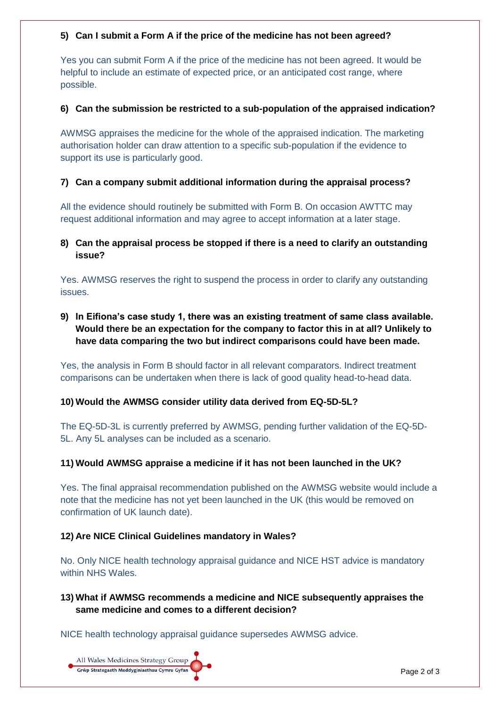#### **5) Can I submit a Form A if the price of the medicine has not been agreed?**

Yes you can submit Form A if the price of the medicine has not been agreed. It would be helpful to include an estimate of expected price, or an anticipated cost range, where possible.

#### **6) Can the submission be restricted to a sub-population of the appraised indication?**

AWMSG appraises the medicine for the whole of the appraised indication. The marketing authorisation holder can draw attention to a specific sub-population if the evidence to support its use is particularly good.

#### **7) Can a company submit additional information during the appraisal process?**

All the evidence should routinely be submitted with Form B. On occasion AWTTC may request additional information and may agree to accept information at a later stage.

## **8) Can the appraisal process be stopped if there is a need to clarify an outstanding issue?**

Yes. AWMSG reserves the right to suspend the process in order to clarify any outstanding issues.

**9) In Eifiona's case study 1, there was an existing treatment of same class available. Would there be an expectation for the company to factor this in at all? Unlikely to have data comparing the two but indirect comparisons could have been made.**

Yes, the analysis in Form B should factor in all relevant comparators. Indirect treatment comparisons can be undertaken when there is lack of good quality head-to-head data.

## **10) Would the AWMSG consider utility data derived from EQ-5D-5L?**

The EQ-5D-3L is currently preferred by AWMSG, pending further validation of the EQ-5D-5L. Any 5L analyses can be included as a scenario.

## **11) Would AWMSG appraise a medicine if it has not been launched in the UK?**

Yes. The final appraisal recommendation published on the AWMSG website would include a note that the medicine has not yet been launched in the UK (this would be removed on confirmation of UK launch date).

#### **12) Are NICE Clinical Guidelines mandatory in Wales?**

No. Only NICE health technology appraisal guidance and NICE HST advice is mandatory within NHS Wales.

## **13) What if AWMSG recommends a medicine and NICE subsequently appraises the same medicine and comes to a different decision?**

NICE health technology appraisal guidance supersedes AWMSG advice.